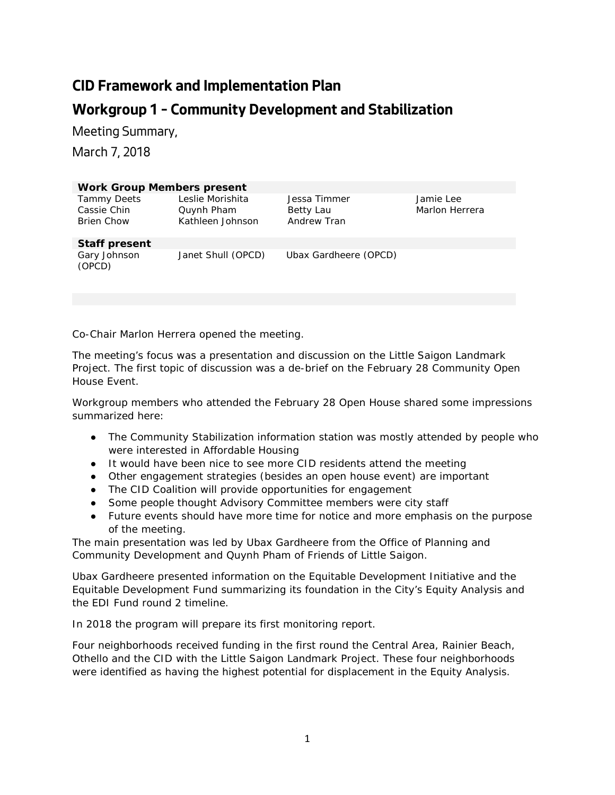## **CID Framework and Implementation Plan Workgroup 1 – Community Development and Stabilization**

Meeting Summary,

March 7, 2018

| <b>Work Group Members present</b>                      |                                                    |                                          |                             |
|--------------------------------------------------------|----------------------------------------------------|------------------------------------------|-----------------------------|
| <b>Tammy Deets</b><br>Cassie Chin<br><b>Brien Chow</b> | Leslie Morishita<br>Quynh Pham<br>Kathleen Johnson | Jessa Timmer<br>Betty Lau<br>Andrew Tran | Jamie Lee<br>Marlon Herrera |
|                                                        |                                                    |                                          |                             |
| <b>Staff present</b>                                   |                                                    |                                          |                             |
| Gary Johnson<br>(OPCD)                                 | Janet Shull (OPCD)                                 | Ubax Gardheere (OPCD)                    |                             |
|                                                        |                                                    |                                          |                             |

Co-Chair Marlon Herrera opened the meeting.

The meeting's focus was a presentation and discussion on the Little Saigon Landmark Project. The first topic of discussion was a de-brief on the February 28 Community Open House Event.

Workgroup members who attended the February 28 Open House shared some impressions summarized here:

- The Community Stabilization information station was mostly attended by people who were interested in Affordable Housing
- It would have been nice to see more CID residents attend the meeting
- Other engagement strategies (besides an open house event) are important
- The CID Coalition will provide opportunities for engagement
- Some people thought Advisory Committee members were city staff
- Future events should have more time for notice and more emphasis on the purpose of the meeting.

The main presentation was led by Ubax Gardheere from the Office of Planning and Community Development and Quynh Pham of Friends of Little Saigon.

Ubax Gardheere presented information on the Equitable Development Initiative and the Equitable Development Fund summarizing its foundation in the City's Equity Analysis and the EDI Fund round 2 timeline.

In 2018 the program will prepare its first monitoring report.

Four neighborhoods received funding in the first round the Central Area, Rainier Beach, Othello and the CID with the Little Saigon Landmark Project. These four neighborhoods were identified as having the highest potential for displacement in the Equity Analysis.